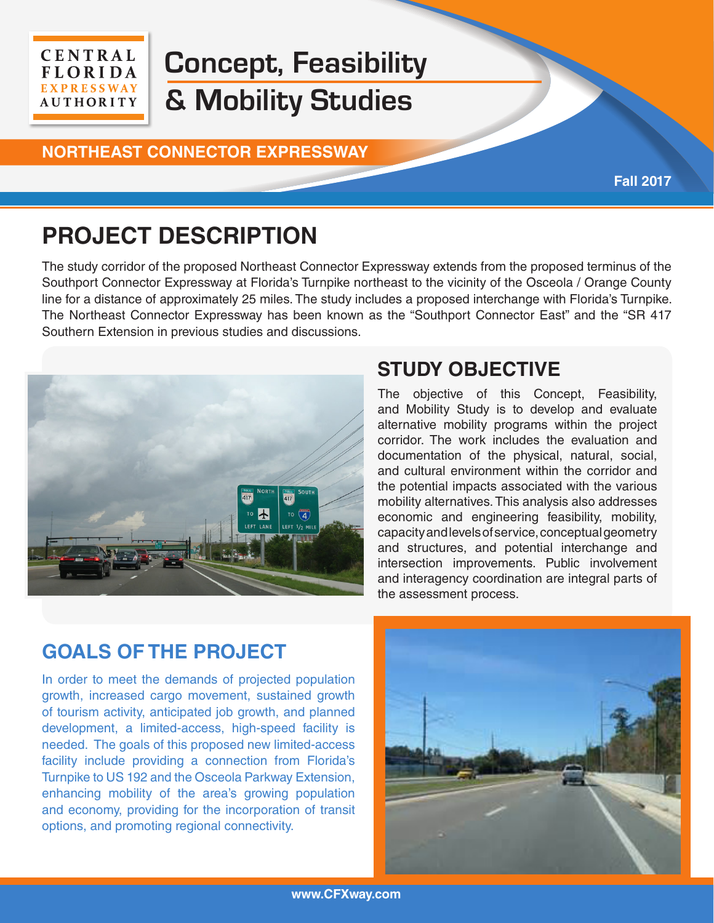#### **CENTRAL FLORIDA EXPRESSWAY AUTHORITY**

# **Concept, Feasibility & Mobility Studies**

#### **NORTHEAST CONNECTOR EXPRESSWAY**

## **PROJECT DESCRIPTION**

The study corridor of the proposed Northeast Connector Expressway extends from the proposed terminus of the Southport Connector Expressway at Florida's Turnpike northeast to the vicinity of the Osceola / Orange County line for a distance of approximately 25 miles. The study includes a proposed interchange with Florida's Turnpike. The Northeast Connector Expressway has been known as the "Southport Connector East" and the "SR 417 Southern Extension in previous studies and discussions.



## **STUDY OBJECTIVE**

The objective of this Concept, Feasibility, and Mobility Study is to develop and evaluate alternative mobility programs within the project corridor. The work includes the evaluation and documentation of the physical, natural, social, and cultural environment within the corridor and the potential impacts associated with the various mobility alternatives. This analysis also addresses economic and engineering feasibility, mobility, capacity and levels of service, conceptual geometry and structures, and potential interchange and intersection improvements. Public involvement and interagency coordination are integral parts of the assessment process.

**Fall 2017**

## **GOALS OF THE PROJECT**

In order to meet the demands of projected population growth, increased cargo movement, sustained growth of tourism activity, anticipated job growth, and planned development, a limited-access, high-speed facility is needed. The goals of this proposed new limited-access facility include providing a connection from Florida's Turnpike to US 192 and the Osceola Parkway Extension, enhancing mobility of the area's growing population and economy, providing for the incorporation of transit options, and promoting regional connectivity.